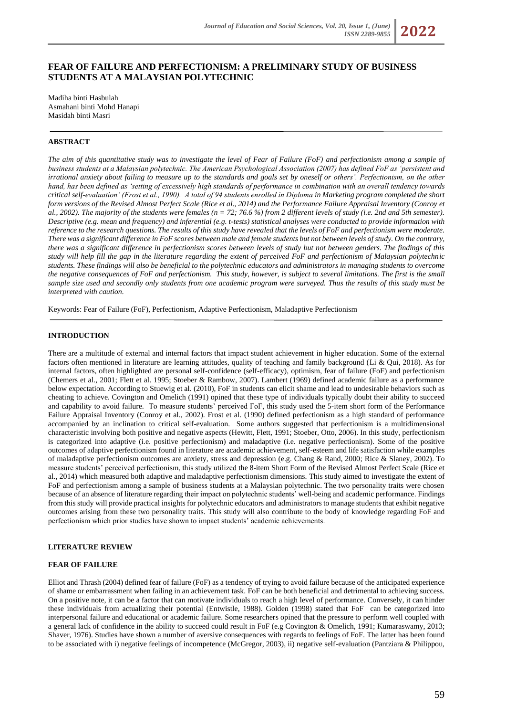# **FEAR OF FAILURE AND PERFECTIONISM: A PRELIMINARY STUDY OF BUSINESS STUDENTS AT A MALAYSIAN POLYTECHNIC**

Madiha binti Hasbulah Asmahani binti Mohd Hanapi Masidah binti Masri

## **ABSTRACT**

*The aim of this quantitative study was to investigate the level of Fear of Failure (FoF) and perfectionism among a sample of business students at a Malaysian polytechnic. The American Psychological Association (2007) has defined FoF as 'persistent and irrational anxiety about failing to measure up to the standards and goals set by oneself or others'. Perfectionism, on the other hand, has been defined as 'setting of excessively high standards of performance in combination with an overall tendency towards critical self-evaluation' (Frost et al., 1990). A total of 94 students enrolled in Diploma in Marketing program completed the short form versions of the Revised Almost Perfect Scale (Rice et al., 2014) and the Performance Failure Appraisal Inventory (Conroy et al., 2002). The majority of the students were females (n = 72; 76.6 %) from 2 different levels of study (i.e. 2nd and 5th semester). Descriptive (e.g. mean and frequency) and inferential (e.g. t-tests) statistical analyses were conducted to provide information with reference to the research questions. The results of this study have revealed that the levels of FoF and perfectionism were moderate. There was a significant difference in FoF scores between male and female students but not between levels of study. On the contrary, there was a significant difference in perfectionism scores between levels of study but not between genders. The findings of this study will help fill the gap in the literature regarding the extent of perceived FoF and perfectionism of Malaysian polytechnic students. These findings will also be beneficial to the polytechnic educators and administrators in managing students to overcome the negative consequences of FoF and perfectionism. This study, however, is subject to several limitations. The first is the small sample size used and secondly only students from one academic program were surveyed. Thus the results of this study must be interpreted with caution.*

Keywords: Fear of Failure (FoF), Perfectionism, Adaptive Perfectionism, Maladaptive Perfectionism

## **INTRODUCTION**

There are a multitude of external and internal factors that impact student achievement in higher education. Some of the external factors often mentioned in literature are learning attitudes, quality of teaching and family background (Li & Qui, 2018). As for internal factors, often highlighted are personal self-confidence (self-efficacy), optimism, fear of failure (FoF) and perfectionism (Chemers et al., 2001; Flett et al. 1995; Stoeber & Rambow, 2007). Lambert (1969) defined academic failure as a performance below expectation. According to Stuewig et al. (2010), FoF in students can elicit shame and lead to undesirable behaviors such as cheating to achieve. Covington and Omelich (1991) opined that these type of individuals typically doubt their ability to succeed and capability to avoid failure. To measure students' perceived FoF, this study used the 5-item short form of the Performance Failure Appraisal Inventory (Conroy et al., 2002). Frost et al. (1990) defined perfectionism as a high standard of performance accompanied by an inclination to critical self-evaluation. Some authors suggested that perfectionism is a multidimensional characteristic involving both positive and negative aspects (Hewitt, Flett, 1991; Stoeber, Otto, 2006). In this study, perfectionism is categorized into adaptive (i.e. positive perfectionism) and maladaptive (i.e. negative perfectionism). Some of the positive outcomes of adaptive perfectionism found in literature are academic achievement, self-esteem and life satisfaction while examples of maladaptive perfectionism outcomes are anxiety, stress and depression (e.g. Chang & Rand, 2000; Rice & Slaney, 2002). To measure students' perceived perfectionism, this study utilized the 8-item Short Form of the Revised Almost Perfect Scale (Rice et al., 2014) which measured both adaptive and maladaptive perfectionism dimensions. This study aimed to investigate the extent of FoF and perfectionism among a sample of business students at a Malaysian polytechnic. The two personality traits were chosen because of an absence of literature regarding their impact on polytechnic students' well-being and academic performance. Findings from this study will provide practical insights for polytechnic educators and administrators to manage students that exhibit negative outcomes arising from these two personality traits. This study will also contribute to the body of knowledge regarding FoF and perfectionism which prior studies have shown to impact students' academic achievements.

## **LITERATURE REVIEW**

## **FEAR OF FAILURE**

Elliot and Thrash (2004) defined fear of failure (FoF) as a tendency of trying to avoid failure because of the anticipated experience of shame or embarrassment when failing in an achievement task. FoF can be both beneficial and detrimental to achieving success. On a positive note, it can be a factor that can motivate individuals to reach a high level of performance. Conversely, it can hinder these individuals from actualizing their potential (Entwistle, 1988). Golden (1998) stated that FoF can be categorized into interpersonal failure and educational or academic failure. Some researchers opined that the pressure to perform well coupled with a general lack of confidence in the ability to succeed could result in FoF (e.g Covington & Omelich, 1991; Kumaraswamy, 2013; Shaver, 1976). Studies have shown a number of aversive consequences with regards to feelings of FoF. The latter has been found to be associated with i) negative feelings of incompetence (McGregor, 2003), ii) negative self-evaluation (Pantziara & Philippou,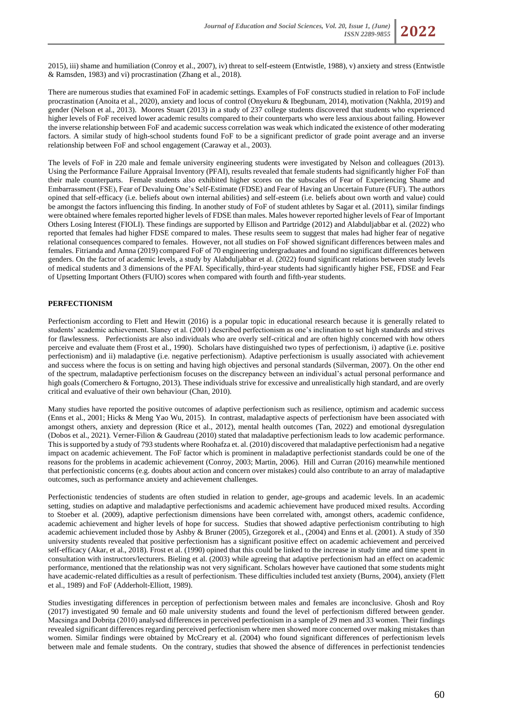2015), iii) shame and humiliation (Conroy et al., 2007), iv) threat to self-esteem (Entwistle, 1988), v) anxiety and stress (Entwistle & Ramsden, 1983) and vi) procrastination (Zhang et al., 2018).

There are numerous studies that examined FoF in academic settings. Examples of FoF constructs studied in relation to FoF include procrastination (Anoita et al., 2020), anxiety and locus of control (Onyekuru & Ibegbunam, 2014), motivation (Nakhla, 2019) and gender (Nelson et al., 2013). Moores Stuart (2013) in a study of 237 college students discovered that students who experienced higher levels of FoF received lower academic results compared to their counterparts who were less anxious about failing. However the inverse relationship between FoF and academic success correlation was weak which indicated the existence of other moderating factors. A similar study of high-school students found FoF to be a significant predictor of grade point average and an inverse relationship between FoF and school engagement (Caraway et al., 2003).

The levels of FoF in 220 male and female university engineering students were investigated by Nelson and colleagues (2013). Using the Performance Failure Appraisal Inventory (PFAI), results revealed that female students had significantly higher FoF than their male counterparts. Female students also exhibited higher scores on the subscales of Fear of Experiencing Shame and Embarrassment (FSE), Fear of Devaluing One's Self-Estimate (FDSE) and Fear of Having an Uncertain Future (FUF). The authors opined that self-efficacy (i.e. beliefs about own internal abilities) and self-esteem (i.e. beliefs about own worth and value) could be amongst the factors influencing this finding. In another study of FoF of student athletes by Sagar et al. (2011), similar findings were obtained where females reported higher levels of FDSE than males. Males however reported higher levels of Fear of Important Others Losing Interest (FIOLI). These findings are supported by Ellison and Partridge (2012) and Alabduljabbar et al. (2022) who reported that females had higher FDSE compared to males. These results seem to suggest that males had higher fear of negative relational consequences compared to females. However, not all studies on FoF showed significant differences between males and females. Fitrianda and Amna (2019) compared FoF of 70 engineering undergraduates and found no significant differences between genders. On the factor of academic levels, a study by Alabduljabbar et al. (2022) found significant relations between study levels of medical students and 3 dimensions of the PFAI. Specifically, third-year students had significantly higher FSE, FDSE and Fear of Upsetting Important Others (FUIO) scores when compared with fourth and fifth-year students.

## **PERFECTIONISM**

Perfectionism according to Flett and Hewitt (2016) is a popular topic in educational research because it is generally related to students' academic achievement. Slaney et al. (2001) described perfectionism as one's inclination to set high standards and strives for flawlessness. Perfectionists are also individuals who are overly self-critical and are often highly concerned with how others perceive and evaluate them (Frost et al., 1990). Scholars have distinguished two types of perfectionism, i) adaptive (i.e. positive perfectionism) and ii) maladaptive (i.e. negative perfectionism). Adaptive perfectionism is usually associated with achievement and success where the focus is on setting and having high objectives and personal standards (Silverman, 2007). On the other end of the spectrum, maladaptive perfectionism focuses on the discrepancy between an individual's actual personal performance and high goals (Comerchero & Fortugno, 2013). These individuals strive for excessive and unrealistically high standard, and are overly critical and evaluative of their own behaviour (Chan, 2010).

Many studies have reported the positive outcomes of adaptive perfectionism such as resilience, optimism and academic success (Enns et al., 2001; Hicks & Meng Yao Wu, 2015). In contrast, maladaptive aspects of perfectionism have been associated with amongst others, anxiety and depression (Rice et al., 2012), mental health outcomes (Tan, 2022) and emotional dysregulation (Dobos et al., 2021). Verner-Filion & Gaudreau (2010) stated that maladaptive perfectionism leads to low academic performance. This is supported by a study of 793 students where Roohafza et. al. (2010) discovered that maladaptive perfectionism had a negative impact on academic achievement. The FoF factor which is prominent in maladaptive perfectionist standards could be one of the reasons for the problems in academic achievement (Conroy, 2003; Martin, 2006). Hill and Curran (2016) meanwhile mentioned that perfectionistic concerns (e.g. doubts about action and concern over mistakes) could also contribute to an array of maladaptive outcomes, such as performance anxiety and achievement challenges.

Perfectionistic tendencies of students are often studied in relation to gender, age-groups and academic levels. In an academic setting, studies on adaptive and maladaptive perfectionisms and academic achievement have produced mixed results. According to Stoeber et al. (2009), adaptive perfectionism dimensions have been correlated with, amongst others, academic confidence, academic achievement and higher levels of hope for success. Studies that showed adaptive perfectionism contributing to high academic achievement included those by Ashby & Bruner (2005), Grzegorek et al., (2004) and Enns et al. (2001). A study of 350 university students revealed that positive perfectionism has a significant positive effect on academic achievement and perceived self-efficacy (Akar, et al., 2018). Frost et al. (1990) opined that this could be linked to the increase in study time and time spent in consultation with instructors/lecturers. Bieling et al. (2003) while agreeing that adaptive perfectionism had an effect on academic performance, mentioned that the relationship was not very significant. Scholars however have cautioned that some students might have academic-related difficulties as a result of perfectionism. These difficulties included test anxiety (Burns, 2004), anxiety (Flett et al., 1989) and FoF (Adderholt-Elliott, 1989).

Studies investigating differences in perception of perfectionism between males and females are inconclusive. Ghosh and Roy (2017) investigated 90 female and 60 male university students and found the level of perfectionism differed between gender. Macsinga and Dobrița (2010) analysed differences in perceived perfectionism in a sample of 29 men and 33 women. Their findings revealed significant differences regarding perceived perfectionism where men showed more concerned over making mistakes than women. Similar findings were obtained by McCreary et al. (2004) who found significant differences of perfectionism levels between male and female students. On the contrary, studies that showed the absence of differences in perfectionist tendencies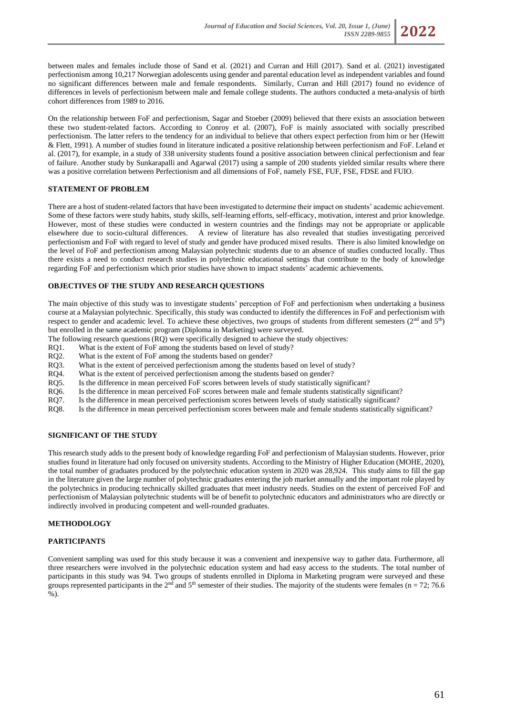

between males and females include those of Sand et al. (2021) and Curran and Hill (2017). Sand et al. (2021) investigated perfectionism among 10,217 Norwegian adolescents using gender and parental education level as independent variables and found no significant differences between male and female respondents. Similarly, Curran and Hill (2017) found no evidence of differences in levels of perfectionism between male and female college students. The authors conducted a meta-analysis of birth cohort differences from 1989 to 2016.

On the relationship between FoF and perfectionism, Sagar and Stoeber (2009) believed that there exists an association between these two student-related factors. According to Conroy et al. (2007), FoF is mainly associated with socially prescribed perfectionism. The latter refers to the tendency for an individual to believe that others expect perfection from him or her (Hewitt & Flett, 1991). A number of studies found in literature indicated a positive relationship between perfectionism and FoF. Leland et al. (2017), for example, in a study of 338 university students found a positive association between clinical perfectionism and fear of failure. Another study by Sunkarapalli and Agarwal (2017) using a sample of 200 students yielded similar results where there was a positive correlation between Perfectionism and all dimensions of FoF, namely FSE, FUF, FSE, FDSE and FUIO.

## **STATEMENT OF PROBLEM**

There are a host of student-related factors that have been investigated to determine their impact on students' academic achievement. Some of these factors were study habits, study skills, self-learning efforts, self-efficacy, motivation, interest and prior knowledge. However, most of these studies were conducted in western countries and the findings may not be appropriate or applicable elsewhere due to socio-cultural differences. A review of literature has also revealed that studies investigating perceived perfectionism and FoF with regard to level of study and gender have produced mixed results. There is also limited knowledge on the level of FoF and perfectionism among Malaysian polytechnic students due to an absence of studies conducted locally. Thus there exists a need to conduct research studies in polytechnic educational settings that contribute to the body of knowledge regarding FoF and perfectionism which prior studies have shown to impact students' academic achievements.

## **OBJECTIVES OF THE STUDY AND RESEARCH QUESTIONS**

The main objective of this study was to investigate students' perception of FoF and perfectionism when undertaking a business course at a Malaysian polytechnic. Specifically, this study was conducted to identify the differences in FoF and perfectionism with respect to gender and academic level. To achieve these objectives, two groups of students from different semesters (2<sup>nd</sup> and 5<sup>th</sup>) but enrolled in the same academic program (Diploma in Marketing) were surveyed.

The following research questions (RQ) were specifically designed to achieve the study objectives:

- RQ1. What is the extent of FoF among the students based on level of study?
- RQ2. What is the extent of FoF among the students based on gender?
- RQ3. What is the extent of perceived perfectionism among the students based on level of study?
- RQ4. What is the extent of perceived perfectionism among the students based on gender?
- RQ5. Is the difference in mean perceived FoF scores between levels of study statistically significant?
- RQ6. Is the difference in mean perceived FoF scores between male and female students statistically significant?
- RQ7. Is the difference in mean perceived perfectionism scores between levels of study statistically significant?
- RQ8. Is the difference in mean perceived perfectionism scores between male and female students statistically significant?

# **SIGNIFICANT OF THE STUDY**

This research study adds to the present body of knowledge regarding FoF and perfectionism of Malaysian students. However, prior studies found in literature had only focused on university students. According to the Ministry of Higher Education (MOHE, 2020), the total number of graduates produced by the polytechnic education system in 2020 was 28,924. This study aims to fill the gap in the literature given the large number of polytechnic graduates entering the job market annually and the important role played by the polytechnics in producing technically skilled graduates that meet industry needs. Studies on the extent of perceived FoF and perfectionism of Malaysian polytechnic students will be of benefit to polytechnic educators and administrators who are directly or indirectly involved in producing competent and well-rounded graduates.

## **METHODOLOGY**

# **PARTICIPANTS**

Convenient sampling was used for this study because it was a convenient and inexpensive way to gather data. Furthermore, all three researchers were involved in the polytechnic education system and had easy access to the students. The total number of participants in this study was 94. Two groups of students enrolled in Diploma in Marketing program were surveyed and these groups represented participants in the 2<sup>nd</sup> and 5<sup>th</sup> semester of their studies. The majority of the students were females (n = 72; 76.6 %).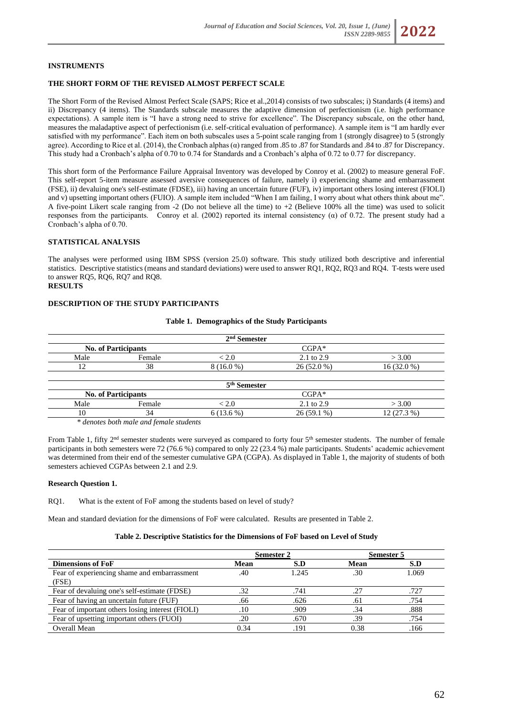#### **INSTRUMENTS**

#### **THE SHORT FORM OF THE REVISED ALMOST PERFECT SCALE**

The Short Form of the Revised Almost Perfect Scale (SAPS; Rice et al.,2014) consists of two subscales; i) Standards (4 items) and ii) Discrepancy (4 items). The Standards subscale measures the adaptive dimension of perfectionism (i.e. high performance expectations). A sample item is "I have a strong need to strive for excellence". The Discrepancy subscale, on the other hand, measures the maladaptive aspect of perfectionism (i.e. self-critical evaluation of performance). A sample item is "I am hardly ever satisfied with my performance". Each item on both subscales uses a 5-point scale ranging from 1 (strongly disagree) to 5 (strongly agree). According to Rice et al. (2014), the Cronbach alphas ( $\alpha$ ) ranged from .85 to .87 for Standards and .84 to .87 for Discrepancy. This study had a Cronbach's alpha of 0.70 to 0.74 for Standards and a Cronbach's alpha of 0.72 to 0.77 for discrepancy.

This short form of the Performance Failure Appraisal Inventory was developed by Conroy et al. (2002) to measure general FoF. This self-report 5-item measure assessed aversive consequences of failure, namely i) experiencing shame and embarrassment (FSE), ii) devaluing one's self-estimate (FDSE), iii) having an uncertain future (FUF), iv) important others losing interest (FIOLI) and v) upsetting important others (FUIO). A sample item included "When I am failing, I worry about what others think about me". A five-point Likert scale ranging from -2 (Do not believe all the time) to +2 (Believe 100% all the time) was used to solicit responses from the participants. Conroy et al. (2002) reported its internal consistency  $(\alpha)$  of 0.72. The present study had a Cronbach's alpha of 0.70.

#### **STATISTICAL ANALYSIS**

The analyses were performed using IBM SPSS (version 25.0) software. This study utilized both descriptive and inferential statistics. Descriptive statistics (means and standard deviations) were used to answer RQ1, RQ2, RQ3 and RQ4. T-tests were used to answer RQ5, RQ6, RQ7 and RQ8. **RESULTS**

### **DESCRIPTION OF THE STUDY PARTICIPANTS**

| $2nd$ Semester |                            |             |              |              |  |  |  |
|----------------|----------------------------|-------------|--------------|--------------|--|--|--|
|                | <b>No. of Participants</b> | $CGPA*$     |              |              |  |  |  |
| Male           | Female                     | < 2.0       | 2.1 to 2.9   | > 3.00       |  |  |  |
| 12             | 38                         | $8(16.0\%)$ | $26(52.0\%)$ | $16(32.0\%)$ |  |  |  |
|                | 5 <sup>th</sup> Semester   |             |              |              |  |  |  |
|                | <b>No. of Participants</b> |             | $CGPA*$      |              |  |  |  |
| Male           | Female                     | < 2.0       | 2.1 to 2.9   | > 3.00       |  |  |  |
| 10             | 34                         | $6(13.6\%)$ | $26(59.1\%)$ | $12(27.3\%)$ |  |  |  |

#### **Table 1. Demographics of the Study Participants**

 *\* denotes both male and female students*

From Table 1, fifty  $2^{nd}$  semester students were surveyed as compared to forty four  $5^{th}$  semester students. The number of female participants in both semesters were 72 (76.6 %) compared to only 22 (23.4 %) male participants. Students' academic achievement was determined from their end of the semester cumulative GPA (CGPA). As displayed in Table 1, the majority of students of both semesters achieved CGPAs between 2.1 and 2.9.

#### **Research Question 1.**

RQ1. What is the extent of FoF among the students based on level of study?

Mean and standard deviation for the dimensions of FoF were calculated. Results are presented in Table 2.

## **Table 2. Descriptive Statistics for the Dimensions of FoF based on Level of Study**

|                                                       | Semester 2 |       | Semester 5 |       |
|-------------------------------------------------------|------------|-------|------------|-------|
| <b>Dimensions of FoF</b>                              | Mean       | S.D   | Mean       | S.D   |
| Fear of experiencing shame and embarrassment<br>(FSE) | .40        | 1.245 | .30        | 1.069 |
| Fear of devaluing one's self-estimate (FDSE)          | .32        | .741  | .27        | .727  |
| Fear of having an uncertain future (FUF)              | .66        | .626  | .61        | .754  |
| Fear of important others losing interest (FIOLI)      | .10        | .909  | .34        | .888  |
| Fear of upsetting important others (FUOI)             | .20        | .670  | .39        | .754  |
| Overall Mean                                          | 0.34       | .191  | 0.38       | .166  |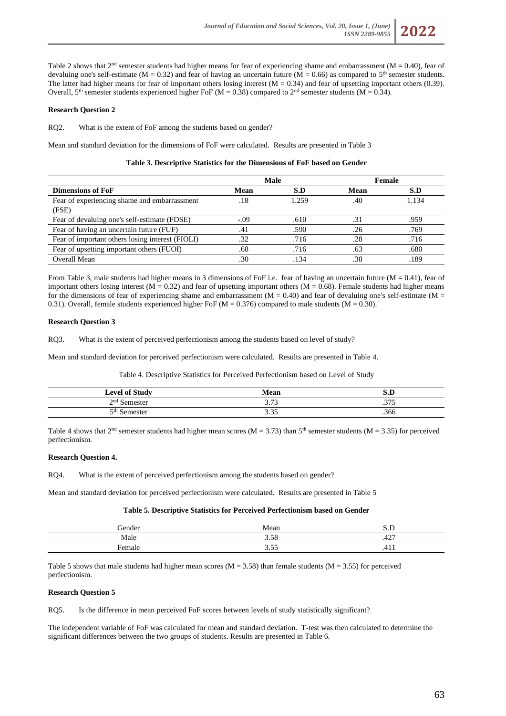Table 2 shows that  $2<sup>nd</sup>$  semester students had higher means for fear of experiencing shame and embarrassment (M = 0.40), fear of devaluing one's self-estimate ( $M = 0.32$ ) and fear of having an uncertain future ( $M = 0.66$ ) as compared to  $5<sup>th</sup>$  semester students. The latter had higher means for fear of important others losing interest  $(M = 0.34)$  and fear of upsetting important others (0.39). Overall, 5<sup>th</sup> semester students experienced higher FoF (M = 0.38) compared to 2<sup>nd</sup> semester students (M = 0.34).

### **Research Question 2**

RQ2. What is the extent of FoF among the students based on gender?

Mean and standard deviation for the dimensions of FoF were calculated. Results are presented in Table 3

#### **Table 3. Descriptive Statistics for the Dimensions of FoF based on Gender**

|                                                  |        | <b>Male</b> |      | Female |
|--------------------------------------------------|--------|-------------|------|--------|
| <b>Dimensions of FoF</b>                         | Mean   | S.D         | Mean | S.D    |
| Fear of experiencing shame and embarrassment     | .18    | 1.259       | .40  | 1.134  |
| (FSE)                                            |        |             |      |        |
| Fear of devaluing one's self-estimate (FDSE)     | $-.09$ | .610        | .31  | .959   |
| Fear of having an uncertain future (FUF)         | .41    | .590        | .26  | .769   |
| Fear of important others losing interest (FIOLI) | .32    | .716        | .28  | .716   |
| Fear of upsetting important others (FUOI)        | .68    | .716        | .63  | .680   |
| Overall Mean                                     | .30    | .134        | .38  | .189   |

From Table 3, male students had higher means in 3 dimensions of FoF i.e. fear of having an uncertain future  $(M = 0.41)$ , fear of important others losing interest ( $M = 0.32$ ) and fear of upsetting important others ( $M = 0.68$ ). Female students had higher means for the dimensions of fear of experiencing shame and embarrassment  $(M = 0.40)$  and fear of devaluing one's self-estimate  $(M = 0.40)$ 0.31). Overall, female students experienced higher FoF ( $M = 0.376$ ) compared to male students ( $M = 0.30$ ).

#### **Research Question 3**

RQ3. What is the extent of perceived perfectionism among the students based on level of study?

Mean and standard deviation for perceived perfectionism were calculated. Results are presented in Table 4.

Table 4. Descriptive Statistics for Perceived Perfectionism based on Level of Study

| r of Study<br>$_{\text{level}}$ | Mean                  | 13.L    |
|---------------------------------|-----------------------|---------|
| $\gamma$ nd                     | 2.72<br>ر ، ، ر       | 277<br> |
| 5th                             | $\sim$ $\sim$<br>J.J. | .366    |

Table 4 shows that  $2<sup>nd</sup>$  semester students had higher mean scores (M = 3.73) than 5<sup>th</sup> semester students (M = 3.35) for perceived perfectionism.

#### **Research Question 4.**

RQ4. What is the extent of perceived perfectionism among the students based on gender?

Mean and standard deviation for perceived perfectionism were calculated. Results are presented in Table 5

#### **Table 5. Descriptive Statistics for Perceived Perfectionism based on Gender**

| iender | Mean                         |                   |
|--------|------------------------------|-------------------|
| Male   | $\sim$ $\sim$ $\sim$<br>3.J8 | $\sim$ $-$<br>. ت |
| liam   | $\sim$ $-$<br>               |                   |

Table 5 shows that male students had higher mean scores ( $M = 3.58$ ) than female students ( $M = 3.55$ ) for perceived perfectionism.

### **Research Question 5**

RQ5. Is the difference in mean perceived FoF scores between levels of study statistically significant?

The independent variable of FoF was calculated for mean and standard deviation. T-test was then calculated to determine the significant differences between the two groups of students. Results are presented in Table 6.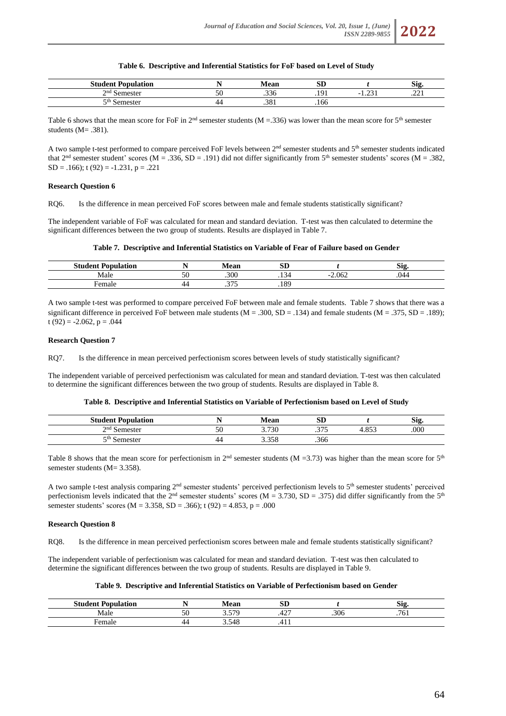## **Table 6. Descriptive and Inferential Statistics for FoF based on Level of Study**

| $C$ <sub>turn</sub><br><b>Exampled</b> in the <b>Parish of Street</b><br>-elem≏ i |    | Moor<br>гсан | αm<br>ЮL |                       | <b>Sig</b> |
|-----------------------------------------------------------------------------------|----|--------------|----------|-----------------------|------------|
| $\gamma$ nd<br>Namastar<br>-                                                      | эU | .336         | ۱O.      | $\sim$<br>$\sim$<br>. | 221<br>$-$ |
| اسادر                                                                             | 44 | 201<br>.901  | .166     |                       |            |

Table 6 shows that the mean score for FoF in  $2<sup>nd</sup>$  semester students (M = .336) was lower than the mean score for 5<sup>th</sup> semester students (M= .381).

A two sample t-test performed to compare perceived FoF levels between  $2<sup>nd</sup>$  semester students and  $5<sup>th</sup>$  semester students indicated that  $2<sup>nd</sup>$  semester student' scores (M = .336, SD = .191) did not differ significantly from  $5<sup>th</sup>$  semester students' scores (M = .382,  $SD = .166$ ; t (92) =  $-1.231$ , p = .221

#### **Research Question 6**

RQ6. Is the difference in mean perceived FoF scores between male and female students statistically significant?

The independent variable of FoF was calculated for mean and standard deviation. T-test was then calculated to determine the significant differences between the two group of students. Results are displayed in Table 7.

#### **Table 7. Descriptive and Inferential Statistics on Variable of Fear of Failure based on Gender**

| . Danviation<br>1dent.<br>. |    | Mean                                      | aт<br>ЮL                           |                 | $\sim$<br><b>S19</b> |
|-----------------------------|----|-------------------------------------------|------------------------------------|-----------------|----------------------|
| Male                        | JU | .300                                      | $\sim$ $\sim$<br>$\Delta$<br>−ت 1. | $-2.062$<br>- - | .044                 |
| –<br>$\sim$ $\sim$ $\sim$   |    | $\sim$<br>$\cdot$ $\cdot$ $\cdot$ $\cdot$ | .189                               |                 |                      |

A two sample t-test was performed to compare perceived FoF between male and female students. Table 7 shows that there was a significant difference in perceived FoF between male students ( $M = .300$ ,  $SD = .134$ ) and female students ( $M = .375$ ,  $SD = .189$ ); t  $(92) = -2.062$ ,  $p = .044$ 

#### **Research Question 7**

RQ7. Is the difference in mean perceived perfectionism scores between levels of study statistically significant?

The independent variable of perceived perfectionism was calculated for mean and standard deviation. T-test was then calculated to determine the significant differences between the two group of students. Results are displayed in Table 8.

#### **Table 8. Descriptive and Inferential Statistics on Variable of Perfectionism based on Level of Study**

| <b>Student Population</b> |    | Mean  | $\sim$<br>שפ |                 | Sig. |
|---------------------------|----|-------|--------------|-----------------|------|
| $\gamma$ nd<br>Semester   | 50 | 3.730 | 27r<br>      | 0.057<br>: ده.+ | .000 |
| Semester                  | 44 | 3.358 | .366         |                 |      |

Table 8 shows that the mean score for perfectionism in  $2^{nd}$  semester students (M =3.73) was higher than the mean score for  $5^{th}$ semester students (M= 3.358).

A two sample t-test analysis comparing  $2<sup>nd</sup>$  semester students' perceived perfectionism levels to  $5<sup>th</sup>$  semester students' perceived perfectionism levels indicated that the  $2<sup>nd</sup>$  semester students' scores (M = 3.730, SD = .375) did differ significantly from the  $5<sup>th</sup>$ semester students' scores ( $M = 3.358$ ,  $SD = .366$ ); t (92) = 4.853, p = .000

#### **Research Question 8**

RQ8. Is the difference in mean perceived perfectionism scores between male and female students statistically significant?

The independent variable of perfectionism was calculated for mean and standard deviation. T-test was then calculated to determine the significant differences between the two group of students. Results are displayed in Table 9.

#### **Table 9. Descriptive and Inferential Statistics on Variable of Perfectionism based on Gender**

| $7$ tudeni<br>$\mathbf{r}$<br><b>Llamulatior</b> |    | Mean          | <b>OD</b><br>ЮL       |      | $\sim$<br>~-<br>ЮB |
|--------------------------------------------------|----|---------------|-----------------------|------|--------------------|
| Male                                             | JU | 570<br>، ن. ب | $\sqrt{2}$<br>4<br>᠇᠘ | .306 | $\sim$<br>"<br>.   |
| -<br>Female                                      |    | 548<br>J.J+0  | . T 1 1               |      |                    |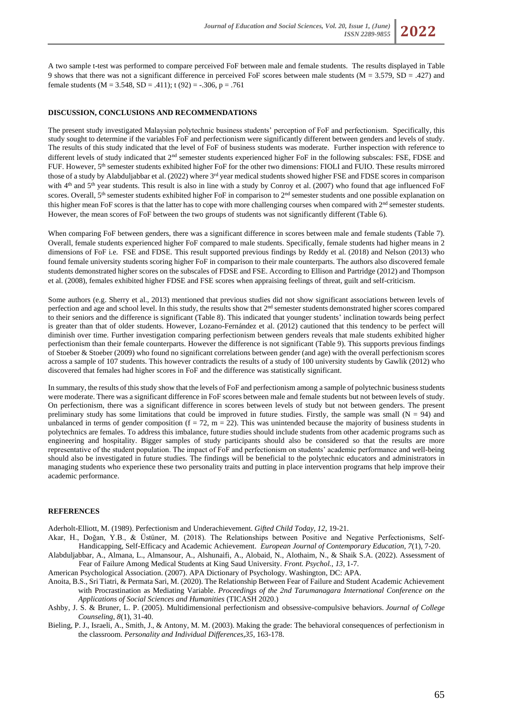

#### **DISCUSSION, CONCLUSIONS AND RECOMMENDATIONS**

The present study investigated Malaysian polytechnic business students' perception of FoF and perfectionism. Specifically, this study sought to determine if the variables FoF and perfectionism were significantly different between genders and levels of study. The results of this study indicated that the level of FoF of business students was moderate. Further inspection with reference to different levels of study indicated that 2<sup>nd</sup> semester students experienced higher FoF in the following subscales: FSE, FDSE and FUF. However, 5th semester students exhibited higher FoF for the other two dimensions: FIOLI and FUIO. These results mirrored those of a study by Alabduljabbar et al. (2022) where 3rd year medical students showed higher FSE and FDSE scores in comparison with 4<sup>th</sup> and 5<sup>th</sup> year students. This result is also in line with a study by Conroy et al. (2007) who found that age influenced FoF scores. Overall,  $5<sup>th</sup>$  semester students exhibited higher FoF in comparison to  $2<sup>nd</sup>$  semester students and one possible explanation on this higher mean FoF scores is that the latter has to cope with more challenging courses when compared with 2<sup>nd</sup> semester students. However, the mean scores of FoF between the two groups of students was not significantly different (Table 6).

When comparing FoF between genders, there was a significant difference in scores between male and female students (Table 7). Overall, female students experienced higher FoF compared to male students. Specifically, female students had higher means in 2 dimensions of FoF i.e. FSE and FDSE. This result supported previous findings by Reddy et al. (2018) and Nelson (2013) who found female university students scoring higher FoF in comparison to their male counterparts. The authors also discovered female students demonstrated higher scores on the subscales of FDSE and FSE. According to Ellison and Partridge (2012) and Thompson et al. (2008), females exhibited higher FDSE and FSE scores when appraising feelings of threat, guilt and self-criticism.

Some authors (e.g. Sherry et al., 2013) mentioned that previous studies did not show significant associations between levels of perfection and age and school level. In this study, the results show that 2<sup>nd</sup> semester students demonstrated higher scores compared to their seniors and the difference is significant (Table 8). This indicated that younger students' inclination towards being perfect is greater than that of older students. However, Lozano-Fernández et al. (2012) cautioned that this tendency to be perfect will diminish over time. Further investigation comparing perfectionism between genders reveals that male students exhibited higher perfectionism than their female counterparts. However the difference is not significant (Table 9). This supports previous findings of Stoeber & Stoeber (2009) who found no significant correlations between gender (and age) with the overall perfectionism scores across a sample of 107 students. This however contradicts the results of a study of 100 university students by Gawlik (2012) who discovered that females had higher scores in FoF and the difference was statistically significant.

In summary, the results of this study show that the levels of FoF and perfectionism among a sample of polytechnic business students were moderate. There was a significant difference in FoF scores between male and female students but not between levels of study. On perfectionism, there was a significant difference in scores between levels of study but not between genders. The present preliminary study has some limitations that could be improved in future studies. Firstly, the sample was small  $(N = 94)$  and unbalanced in terms of gender composition  $(f = 72, m = 22)$ . This was unintended because the majority of business students in polytechnics are females. To address this imbalance, future studies should include students from other academic programs such as engineering and hospitality. Bigger samples of study participants should also be considered so that the results are more representative of the student population. The impact of FoF and perfectionism on students' academic performance and well-being should also be investigated in future studies. The findings will be beneficial to the polytechnic educators and administrators in managing students who experience these two personality traits and putting in place intervention programs that help improve their academic performance.

## **REFERENCES**

Aderholt-Elliott, M. (1989). Perfectionism and Underachievement. *Gifted Child Today, 12*, 19-21.

- Akar, H., Doğan, Y.B., & Üstüner, M. (2018). The Relationships between Positive and Negative Perfectionisms, Self-Handicapping, Self-Efficacy and Academic Achievement. *European Journal of Contemporary Education, 7*(1), 7-20.
- Alabduljabbar, A., Almana, L., Almansour, A., Alshunaifi, A., Alobaid, N., Alothaim, N., & Shaik S.A. (2022). Assessment of Fear of Failure Among Medical Students at King Saud University. *Front. Psychol., 13,* 1-7.
- American Psychological Association. (2007). APA Dictionary of Psychology. Washington, DC: APA.
- Anoita, B.S., Sri Tiatri, & Permata Sari, M. (2020). The Relationship Between Fear of Failure and Student Academic Achievement with Procrastination as Mediating Variable. *Proceedings of the 2nd Tarumanagara International Conference on the Applications of Social Sciences and Humanities* (TICASH 2020.)
- Ashby, J. S. & Bruner, L. P. (2005). Multidimensional perfectionism and obsessive-compulsive behaviors. *Journal of College Counseling, 8*(1), 31-40.
- Bieling, P. J., Israeli, A., Smith, J., & Antony, M. M. (2003). Making the grade: The behavioral consequences of perfectionism in the classroom. *Personality and Individual Differences,35*, 163-178.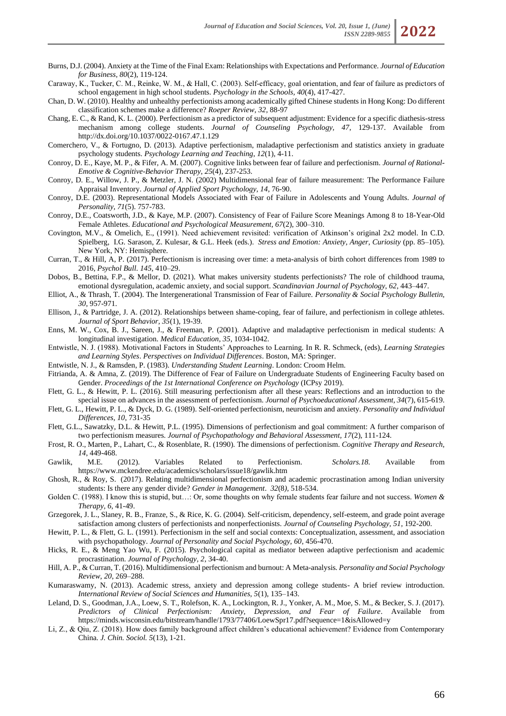- Burns, D.J. (2004). Anxiety at the Time of the Final Exam: Relationships with Expectations and Performance. *Journal of Education for Business, 80*(2), 119-124.
- Caraway, K., Tucker, C. M., Reinke, W. M., & Hall, C. (2003). Self‐efficacy, goal orientation, and fear of failure as predictors of school engagement in high school students. *Psychology in the Schools, 40*(4), 417-427.
- Chan, D. W. (2010). Healthy and unhealthy perfectionists among academically gifted Chinese students in Hong Kong: Do different classification schemes make a difference? *Roeper Review, 32*, 88-97
- Chang, E. C., & Rand, K. L. (2000). Perfectionism as a predictor of subsequent adjustment: Evidence for a specific diathesis-stress mechanism among college students. *Journal of Counseling Psychology, 47*, 129-137. Available from http://dx.doi.org/10.1037/0022-0167.47.1.129
- Comerchero, V., & Fortugno, D. (2013). Adaptive perfectionism, maladaptive perfectionism and statistics anxiety in graduate psychology students. *Psychology Learning and Teaching*, *12*(1), 4-11.
- Conroy, D. E., Kaye, M. P., & Fifer, A. M. (2007). Cognitive links between fear of failure and perfectionism. *Journal of Rational-Emotive & Cognitive-Behavior Therapy, 25*(4), 237-253.
- Conroy, D. E., Willow, J. P., & Metzler, J. N. (2002) Multidimensional fear of failure measurement: The Performance Failure Appraisal Inventory. *Journal of Applied Sport Psychology, 14*, 76-90.
- Conroy, D.E. (2003). Representational Models Associated with Fear of Failure in Adolescents and Young Adults. *Journal of Personality, 71*(5). 757-783.
- Conroy, D.E., Coatsworth, J.D., & Kaye, M.P. (2007). Consistency of Fear of Failure Score Meanings Among 8 to 18-Year-Old Female Athletes. *Educational and Psychological Measurement, 67*(2), 300–310.
- Covington, M.V., & Omelich, E., (1991). Need achievement revisited: verification of Atkinson's original 2x2 model. In C.D. Spielberg, I.G. Sarason, Z. Kulesar, & G.L. Heek (eds.). *Stress and Emotion: Anxiety, Anger, Curiosity* (pp. 85–105). New York, NY: Hemisphere.
- Curran, T., & Hill, A, P. (2017). Perfectionism is increasing over time: a meta-analysis of birth cohort differences from 1989 to 2016, *Psychol Bull*. *145*, 410–29.
- Dobos, B., Bettina, F.P., & Mellor, D. (2021). What makes university students perfectionists? The role of childhood trauma, emotional dysregulation, academic anxiety, and social support. *Scandinavian Journal of Psychology*, *62*, 443–447.
- Elliot, A., & Thrash, T. (2004). The Intergenerational Transmission of Fear of Failure. *Personality & Social Psychology Bulletin, 30,* 957-971.
- Ellison, J., & Partridge, J. A. (2012). Relationships between shame-coping, fear of failure, and perfectionism in college athletes. *Journal of Sport Behavior, 35*(1), 19-39.
- Enns, M. W., Cox, B. J., Sareen, J., & Freeman, P. (2001). Adaptive and maladaptive perfectionism in medical students: A longitudinal investigation. *Medical Education, 35*, 1034-1042.
- Entwistle, N. J. (1988). Motivational Factors in Students' Approaches to Learning. In R. R. Schmeck, (eds), *Learning Strategies and Learning Styles*. *Perspectives on Individual Differences*. Boston, MA: Springer.
- Entwistle, N. J., & Ramsden, P. (1983). *Understanding Student Learning*. London: Croom Helm.
- Fitrianda, A. & Amna, Z. (2019). The Difference of Fear of Failure on Undergraduate Students of Engineering Faculty based on Gender. *Proceedings of the 1st International Conference on Psychology* (ICPsy 2019).
- Flett, G. L., & Hewitt, P. L. (2016). Still measuring perfectionism after all these years: Reflections and an introduction to the special issue on advances in the assessment of perfectionism. *Journal of Psychoeducational Assessment, 34*(7), 615-619.
- Flett, G. L., Hewitt, P. L., & Dyck, D. G. (1989). Self-oriented perfectionism, neuroticism and anxiety. *Personality and Individual Differences, 10*, 731-35
- Flett, G.L., Sawatzky, D.L. & Hewitt, P.L. (1995). Dimensions of perfectionism and goal commitment: A further comparison of two perfectionism measures. *Journal of Psychopathology and Behavioral Assessment, 17*(2), 111-124.
- Frost, R. O., Marten, P., Lahart, C., & Rosenblate, R. (1990). The dimensions of perfectionism. *Cognitive Therapy and Research, 14*, 449-468.
- Gawlik, M.E. (2012). Variables Related to Perfectionism. *Scholars.18.* Available from https://www.mckendree.edu/academics/scholars/issue18/gawlik.htm
- Ghosh, R., & Roy, S. (2017). Relating multidimensional perfectionism and academic procrastination among Indian university students: Is there any gender divide? *Gender in Management*. *32*(8*),* 518-534.
- Golden C. (1988). I know this is stupid, but…: Or, some thoughts on why female students fear failure and not success. *Women & Therapy, 6*, 41-49.
- Grzegorek, J. L., Slaney, R. B., Franze, S., & Rice, K. G. (2004). Self-criticism, dependency, self-esteem, and grade point average satisfaction among clusters of perfectionists and nonperfectionists. *Journal of Counseling Psychology, 51*, 192-200.
- Hewitt, P. L., & Flett, G. L. (1991). Perfectionism in the self and social contexts: Conceptualization, assessment, and association with psychopathology. *Journal of Personality and Social Psychology, 60*, 456-470.
- Hicks, R. E., & Meng Yao Wu, F. (2015). Psychological capital as mediator between adaptive perfectionism and academic procrastination. *Journal of Psychology, 2*, 34-40.
- Hill, A. P., & Curran, T. (2016). Multidimensional perfectionism and burnout: A Meta-analysis*. Personality and Social Psychology Review, 20*, 269–288.
- Kumaraswamy, N. (2013). Academic stress, anxiety and depression among college students- A brief review introduction. *International Review of Social Sciences and Humanities, 5*(1), 135–143.
- Leland, D. S., Goodman, J.A., Loew, S. T., Rolefson, K. A., Lockington, R. J., Yonker, A. M., Moe, S. M., & Becker, S. J. (2017). *Predictors of Clinical Perfectionism: Anxiety, Depression, and Fear of Failure*. Available from https://minds.wisconsin.edu/bitstream/handle/1793/77406/LoewSpr17.pdf?sequence=1&isAllowed=y
- Li, Z., & Qiu, Z. (2018). How does family background affect children's educational achievement? Evidence from Contemporary China*. J. Chin. Sociol. 5*(13), 1-21.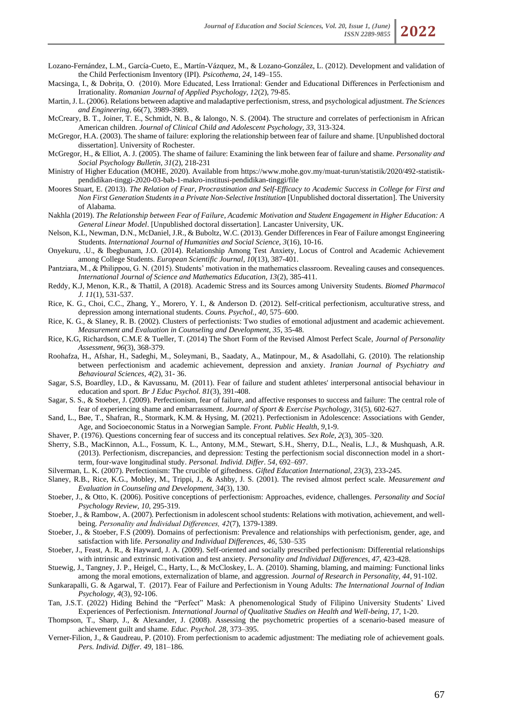- Lozano-Fernández, L.M., García-Cueto, E., Martín-Vázquez, M., & Lozano-González, L. (2012). Development and validation of the Child Perfectionism Inventory (IPI). *Psicothema, 24*, 149–155.
- Macsinga, I., & Dobrița, O. (2010). More Educated, Less Irrational: Gender and Educational Differences in Perfectionism and Irrationality. *Romanian Journal of Applied Psychology, 12*(2), 79-85.
- Martin, J. L. (2006). Relations between adaptive and maladaptive perfectionism, stress, and psychological adjustment. *The Sciences and Engineering*, 66(7), 3989-3989.
- McCreary, B. T., Joiner, T. E., Schmidt, N. B., & Ialongo, N. S. (2004). The structure and correlates of perfectionism in African American children. *Journal of Clinical Child and Adolescent Psychology, 33*, 313-324.
- McGregor, H.A. (2003). The shame of failure: exploring the relationship between fear of failure and shame. [Unpublished doctoral dissertation]. University of Rochester.
- McGregor, H., & Elliot, A. J. (2005). The shame of failure: Examining the link between fear of failure and shame. *Personality and Social Psychology Bulletin, 31*(2), 218-231
- Ministry of Higher Education (MOHE, 2020). Available from https://www.mohe.gov.my/muat-turun/statistik/2020/492-statistikpendidikan-tinggi-2020-03-bab-1-makro-institusi-pendidikan-tinggi/file
- Moores Stuart, E. (2013). *The Relation of Fear, Procrastination and Self-Efficacy to Academic Success in College for First and Non First Generation Students in a Private Non-Selective Institution* [Unpublished doctoral dissertation]. The University of Alabama.
- Nakhla (2019). *The Relationship between Fear of Failure, Academic Motivation and Student Engagement in Higher Education: A General Linear Model*. [Unpublished doctoral dissertation]. Lancaster University, UK.
- Nelson, K.L, Newman, D.N., McDaniel, J.R., & Buboltz, W.C. (2013). Gender Differences in Fear of Failure amongst Engineering Students. *International Journal of Humanities and Social Science, 3*(16), 10-16.
- Onyekuru, .U., & Ibegbunam, J.O. (2014). Relationship Among Test Anxiety, Locus of Control and Academic Achievement among College Students. *European Scientific Journal, 10*(13), 387-401.
- Pantziara, M., & Philippou, G. N. (2015). Students' motivation in the mathematics classroom. Revealing causes and consequences. *International Journal of Science and Mathematics Education, 13*(2), 385-411.
- Reddy, K.J, Menon, K.R., & Thattil, A (2018). Academic Stress and its Sources among University Students. *Biomed Pharmacol J. 11*(1), 531-537.
- Rice, K. G., Choi, C.C., Zhang, Y., Morero, Y. I., & Anderson D. (2012). Self-critical perfectionism, acculturative stress, and depression among international students. *Couns. Psychol., 40,* 575–600.
- Rice, K. G., & Slaney, R. B. (2002). Clusters of perfectionists: Two studies of emotional adjustment and academic achievement. *Measurement and Evaluation in Counseling and Development, 35*, 35-48.
- Rice, K.G, Richardson, C.M.E & Tueller, T. (2014) The Short Form of the Revised Almost Perfect Scale, *Journal of Personality Assessment, 96*(3), 368-379.
- Roohafza, H., Afshar, H., Sadeghi, M., Soleymani, B., Saadaty, A., Matinpour, M., & Asadollahi, G. (2010). The relationship between perfectionism and academic achievement, depression and anxiety. *Iranian Journal of Psychiatry and Behavioural Sciences, 4*(2), 31- 36.
- Sagar, S.S, Boardley, I.D., & Kavussanu, M. (2011). Fear of failure and student athletes' interpersonal antisocial behaviour in education and sport. *Br J Educ Psychol. 81*(3), 391-408.
- Sagar, S. S., & Stoeber, J. (2009). Perfectionism, fear of failure, and affective responses to success and failure: The central role of fear of experiencing shame and embarrassment. *Journal of Sport & Exercise Psychology*, 31(5), 602-627.
- Sand, L., Bøe, T., Shafran, R., Stormark, K.M. & Hysing, M. (2021). Perfectionism in Adolescence: Associations with Gender, Age, and Socioeconomic Status in a Norwegian Sample. *Front. Public Health, 9*,1-9.
- Shaver, P. (1976). Questions concerning fear of success and its conceptual relatives. *Sex Role, 2*(3), 305–320.
- Sherry, S.B., MacKinnon, A.L., Fossum, K. L., Antony, M.M., Stewart, S.H., Sherry, D.L., Nealis, L.J., & Mushquash, A.R. (2013). Perfectionism, discrepancies, and depression: Testing the perfectionism social disconnection model in a shortterm, four-wave longitudinal study. *Personal. Individ. Differ*. *54,* 692–697.
- Silverman, L. K. (2007). Perfectionism: The crucible of giftedness. *Gifted Education International, 23*(3), 233-245.
- Slaney, R.B., Rice, K.G., Mobley, M., Trippi, J., & Ashby, J. S. (2001). The revised almost perfect scale. *Measurement and Evaluation in Counseling and Development, 34*(3), 130.
- Stoeber, J., & Otto, K. (2006). Positive conceptions of perfectionism: Approaches, evidence, challenges. *Personality and Social Psychology Review, 10*, 295-319.
- Stoeber, J., & Rambow, A. (2007). Perfectionism in adolescent school students: Relations with motivation, achievement, and wellbeing. *Personality and İndividual Differences, 42*(7), 1379-1389.
- Stoeber, J., & Stoeber, F.S (2009). Domains of perfectionism: Prevalence and relationships with perfectionism, gender, age, and satisfaction with life. *Personality and Individual Differences, 46*, 530–535
- Stoeber, J., Feast, A. R., & Hayward, J. A. (2009). Self-oriented and socially prescribed perfectionism: Differential relationships with intrinsic and extrinsic motivation and test anxiety. *Personality and Individual Differences, 47*, 423-428.
- Stuewig, J., Tangney, J. P., Heigel, C., Harty, L., & McCloskey, L. A. (2010). Shaming, blaming, and maiming: Functional links among the moral emotions, externalization of blame, and aggression. *Journal of Research in Personality, 44*, 91-102.
- Sunkarapalli, G. & Agarwal, T. (2017). Fear of Failure and Perfectionism in Young Adults: *The International Journal of Indian Psychology*, *4*(3), 92-106.
- Tan, J.S.T. (2022) Hiding Behind the "Perfect" Mask: A phenomenological Study of Filipino University Students' Lived Experiences of Perfectionism. *International Journal of Qualitative Studies on Health and Well-being, 17*, 1-20.
- Thompson, T., Sharp, J., & Alexander, J. (2008). Assessing the psychometric properties of a scenario-based measure of achievement guilt and shame. *Educ. Psychol. 28*, 373–395.
- Verner-Filion, J., & Gaudreau, P. (2010). From perfectionism to academic adjustment: The mediating role of achievement goals. *Pers. Individ. Differ. 49,* 181–186.